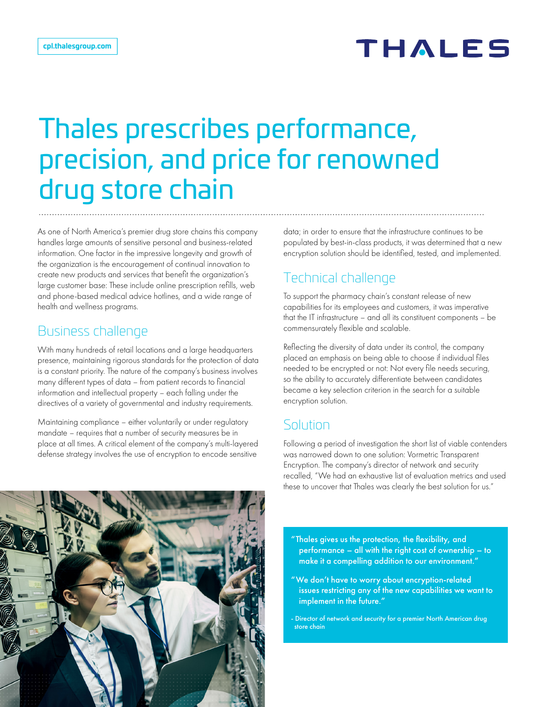# Thales prescribes performance, precision, and price for renowned drug store chain

As one of North America's premier drug store chains this company handles large amounts of sensitive personal and business-related information. One factor in the impressive longevity and growth of the organization is the encouragement of continual innovation to create new products and services that benefit the organization's large customer base: These include online prescription refills, web and phone-based medical advice hotlines, and a wide range of health and wellness programs.

# Business challenge

With many hundreds of retail locations and a large headquarters presence, maintaining rigorous standards for the protection of data is a constant priority. The nature of the company's business involves many different types of data – from patient records to financial information and intellectual property – each falling under the directives of a variety of governmental and industry requirements.

Maintaining compliance – either voluntarily or under regulatory mandate – requires that a number of security measures be in place at all times. A critical element of the company's multi-layered defense strategy involves the use of encryption to encode sensitive

data; in order to ensure that the infrastructure continues to be populated by best-in-class products, it was determined that a new encryption solution should be identified, tested, and implemented.

# Technical challenge

To support the pharmacy chain's constant release of new capabilities for its employees and customers, it was imperative that the IT infrastructure – and all its constituent components – be commensurately flexible and scalable.

Reflecting the diversity of data under its control, the company placed an emphasis on being able to choose if individual files needed to be encrypted or not: Not every file needs securing, so the ability to accurately differentiate between candidates became a key selection criterion in the search for a suitable encryption solution.

## **Solution**

Following a period of investigation the short list of viable contenders was narrowed down to one solution: Vormetric Transparent Encryption. The company's director of network and security recalled, "We had an exhaustive list of evaluation metrics and used these to uncover that Thales was clearly the best solution for us."



- "Thales gives us the protection, the flexibility, and performance – all with the right cost of ownership – to make it a compelling addition to our environment."
- "We don't have to worry about encryption-related issues restricting any of the new capabilities we want to implement in the future."
- Director of network and security for a premier North American drug store chain